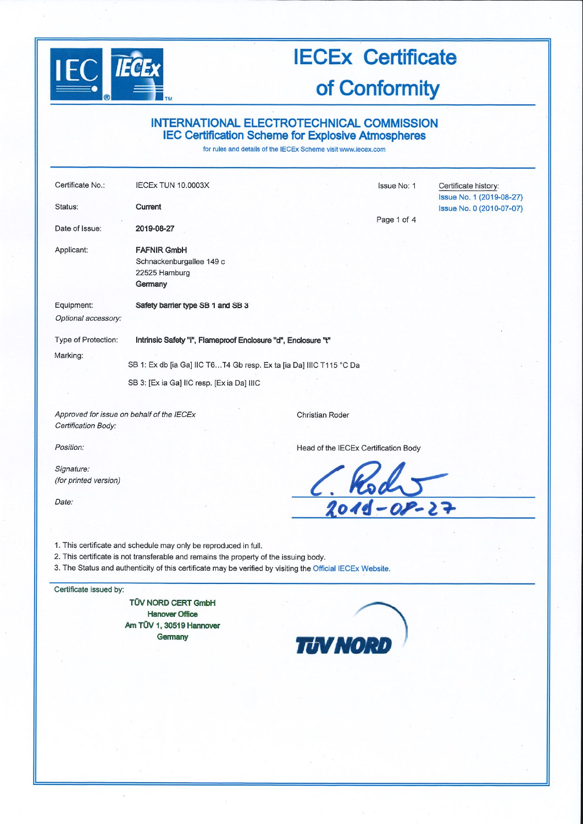

# **IECEx Certificate**

## of Conformity

## INTERNATIONAL ELECTROTECHNICAL COMMISSION<br>IEC Certification Scheme for Explosive Atmospheres

for rules and details of the IECEx Scheme visit www.iecex.com

| Certificate No.:                          | <b>IECEX TUN 10.0003X</b>                                                                                                                                                                           |                                      | Issue No: 1 | Certificate history:     |
|-------------------------------------------|-----------------------------------------------------------------------------------------------------------------------------------------------------------------------------------------------------|--------------------------------------|-------------|--------------------------|
|                                           |                                                                                                                                                                                                     |                                      |             | Issue No. 1 (2019-08-27) |
| Status:                                   | Current                                                                                                                                                                                             |                                      |             | Issue No. 0 (2010-07-07) |
| Date of Issue:                            | 2019-08-27                                                                                                                                                                                          |                                      | Page 1 of 4 |                          |
|                                           |                                                                                                                                                                                                     |                                      |             |                          |
| Applicant:                                | <b>FAFNIR GmbH</b>                                                                                                                                                                                  |                                      |             |                          |
|                                           | Schnackenburgallee 149 c                                                                                                                                                                            |                                      |             |                          |
|                                           | 22525 Hamburg                                                                                                                                                                                       |                                      |             |                          |
|                                           | Germany                                                                                                                                                                                             |                                      |             |                          |
| Equipment:                                | Safety barrier type SB 1 and SB 3                                                                                                                                                                   |                                      |             |                          |
| Optional accessory:                       |                                                                                                                                                                                                     |                                      |             |                          |
|                                           |                                                                                                                                                                                                     |                                      |             |                          |
| Type of Protection:                       | Intrinsic Safety "i", Flameproof Enclosure "d", Enclosure "t"                                                                                                                                       |                                      |             |                          |
| Marking:                                  |                                                                                                                                                                                                     |                                      |             |                          |
|                                           | SB 1: Ex db [ia Ga] IIC T6T4 Gb resp. Ex ta [ia Da] IIIC T115 °C Da                                                                                                                                 |                                      |             |                          |
|                                           | SB 3: [Ex ia Ga] IIC resp. [Ex ia Da] IIIC                                                                                                                                                          |                                      |             |                          |
|                                           |                                                                                                                                                                                                     |                                      |             |                          |
|                                           |                                                                                                                                                                                                     |                                      |             |                          |
| Approved for issue on behalf of the IECEx |                                                                                                                                                                                                     | <b>Christian Roder</b>               |             |                          |
| Certification Body:                       |                                                                                                                                                                                                     |                                      |             |                          |
| Position:                                 |                                                                                                                                                                                                     | Head of the IECEx Certification Body |             |                          |
|                                           |                                                                                                                                                                                                     |                                      |             |                          |
| Signature:                                |                                                                                                                                                                                                     |                                      |             |                          |
| (for printed version)                     |                                                                                                                                                                                                     |                                      |             |                          |
| Date:                                     |                                                                                                                                                                                                     |                                      |             |                          |
|                                           |                                                                                                                                                                                                     |                                      |             |                          |
|                                           |                                                                                                                                                                                                     |                                      |             |                          |
|                                           |                                                                                                                                                                                                     |                                      |             |                          |
|                                           | 1. This certificate and schedule may only be reproduced in full.                                                                                                                                    |                                      |             |                          |
|                                           | 2. This certificate is not transferable and remains the property of the issuing body.<br>3. The Status and authenticity of this certificate may be verified by visiting the Official IECEx Website. |                                      |             |                          |
|                                           |                                                                                                                                                                                                     |                                      |             |                          |
| Certificate issued by:                    |                                                                                                                                                                                                     |                                      |             |                          |
|                                           | TÜV NORD CERT GmbH                                                                                                                                                                                  |                                      |             |                          |
|                                           | <b>Hanover Office</b>                                                                                                                                                                               |                                      |             |                          |
|                                           | Am TÜV 1, 30519 Hannover                                                                                                                                                                            |                                      |             |                          |
|                                           | Germany                                                                                                                                                                                             | <b>TIY NORD</b>                      |             |                          |
|                                           |                                                                                                                                                                                                     |                                      |             |                          |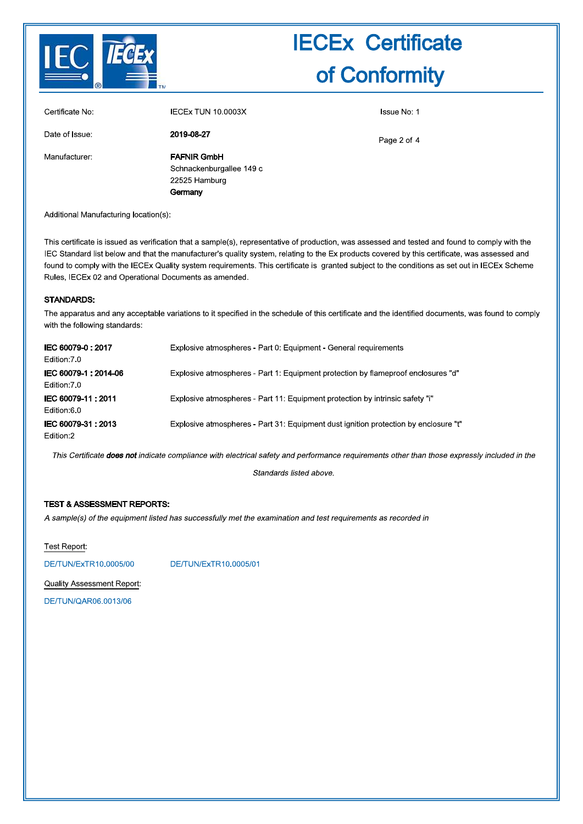

## **IECEx Certificate** of Conformity

| Certificate No: | IECEX TUN 10,0003X                                                         | <b>Issue No: 1</b> |
|-----------------|----------------------------------------------------------------------------|--------------------|
| Date of Issue:  | 2019-08-27                                                                 | Page 2 of 4        |
| Manufacturer:   | <b>FAFNIR GmbH</b><br>Schnackenburgallee 149 c<br>22525 Hamburg<br>Germany |                    |

Additional Manufacturing location(s):

This certificate is issued as verification that a sample(s), representative of production, was assessed and tested and found to comply with the IEC Standard list below and that the manufacturer's quality system, relating to the Ex products covered by this certificate, was assessed and found to comply with the IECEx Quality system requirements. This certificate is granted subject to the conditions as set out in IECEx Scheme Rules, IECEx 02 and Operational Documents as amended.

#### **STANDARDS:**

The apparatus and any acceptable variations to it specified in the schedule of this certificate and the identified documents, was found to comply with the following standards:

| IEC 60079-0:2017<br>Edition: 7.0    | Explosive atmospheres - Part 0: Equipment - General requirements                     |
|-------------------------------------|--------------------------------------------------------------------------------------|
| IEC 60079-1:2014-06<br>Edition: 7.0 | Explosive atmospheres - Part 1: Equipment protection by flameproof enclosures "d"    |
| IEC 60079-11:2011<br>Edition:6.0    | Explosive atmospheres - Part 11: Equipment protection by intrinsic safety "i"        |
| IEC 60079-31: 2013<br>Edition:2     | Explosive atmospheres - Part 31: Equipment dust ignition protection by enclosure "t" |

This Certificate does not indicate compliance with electrical safety and performance requirements other than those expressly included in the

Standards listed above.

#### TEST & ASSESSMENT REPORTS:

A sample(s) of the equipment listed has successfully met the examination and test requirements as recorded in

Test Report:

DE/TUN/ExTR10.0005/00

DE/TUN/ExTR10,0005/01

Quality Assessment Report:

DE/TUN/QAR06.0013/06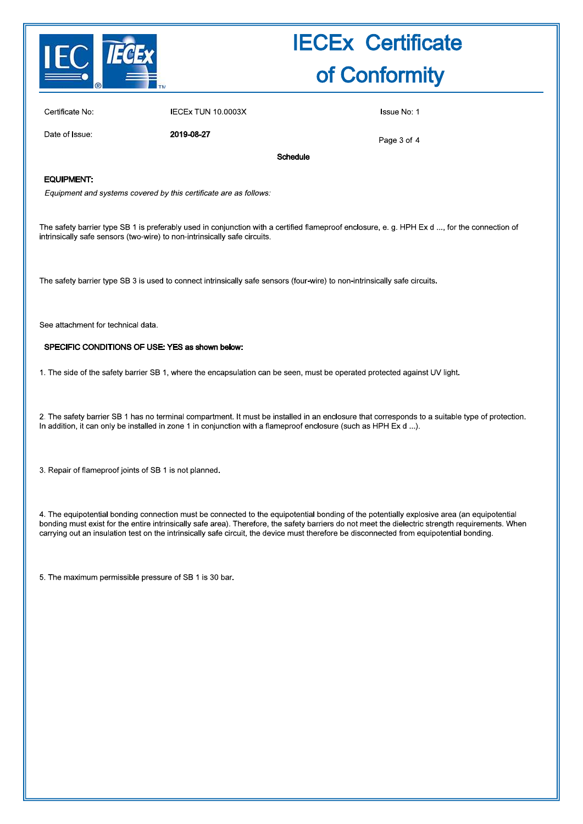

## **IECEx Certificate** of Conformity

Certificate No:

IECEx TUN 10.0003X

Date of Issue:

2019-08-27

**Issue No: 1** 

Page 3 of 4

Schedule

#### **EQUIPMENT:**

Equipment and systems covered by this certificate are as follows:

The safety barrier type SB 1 is preferably used in conjunction with a certified flameproof enclosure, e. g. HPH Ex d ..., for the connection of intrinsically safe sensors (two-wire) to non-intrinsically safe circuits.

The safety barrier type SB 3 is used to connect intrinsically safe sensors (four-wire) to non-intrinsically safe circuits.

See attachment for technical data.

#### SPECIFIC CONDITIONS OF USE: YES as shown below:

1. The side of the safety barrier SB 1, where the encapsulation can be seen, must be operated protected against UV light.

2. The safety barrier SB 1 has no terminal compartment. It must be installed in an enclosure that corresponds to a suitable type of protection. In addition, it can only be installed in zone 1 in conjunction with a flameproof enclosure (such as HPH Ex d ...).

3. Repair of flameproof joints of SB 1 is not planned.

4. The equipotential bonding connection must be connected to the equipotential bonding of the potentially explosive area (an equipotential bonding must exist for the entire intrinsically safe area). Therefore, the safety barriers do not meet the dielectric strength requirements. When carrying out an insulation test on the intrinsically safe circuit, the device must therefore be disconnected from equipotential bonding.

5. The maximum permissible pressure of SB 1 is 30 bar.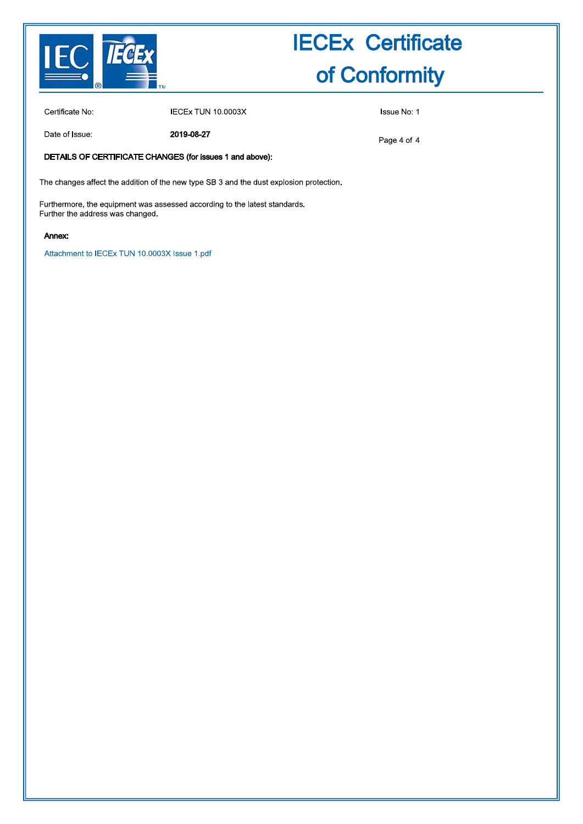

## **IECEx Certificate** of Conformity

Certificate No:

IECEx TUN 10.0003X

Date of Issue:

Page 4 of 4

**Issue No: 1** 

#### DETAILS OF CERTIFICATE CHANGES (for issues 1 and above):

The changes affect the addition of the new type SB 3 and the dust explosion protection.

2019-08-27

Furthermore, the equipment was assessed according to the latest standards. Further the address was changed.

#### Annex:

Attachment to IECEx TUN 10.0003X Issue 1.pdf